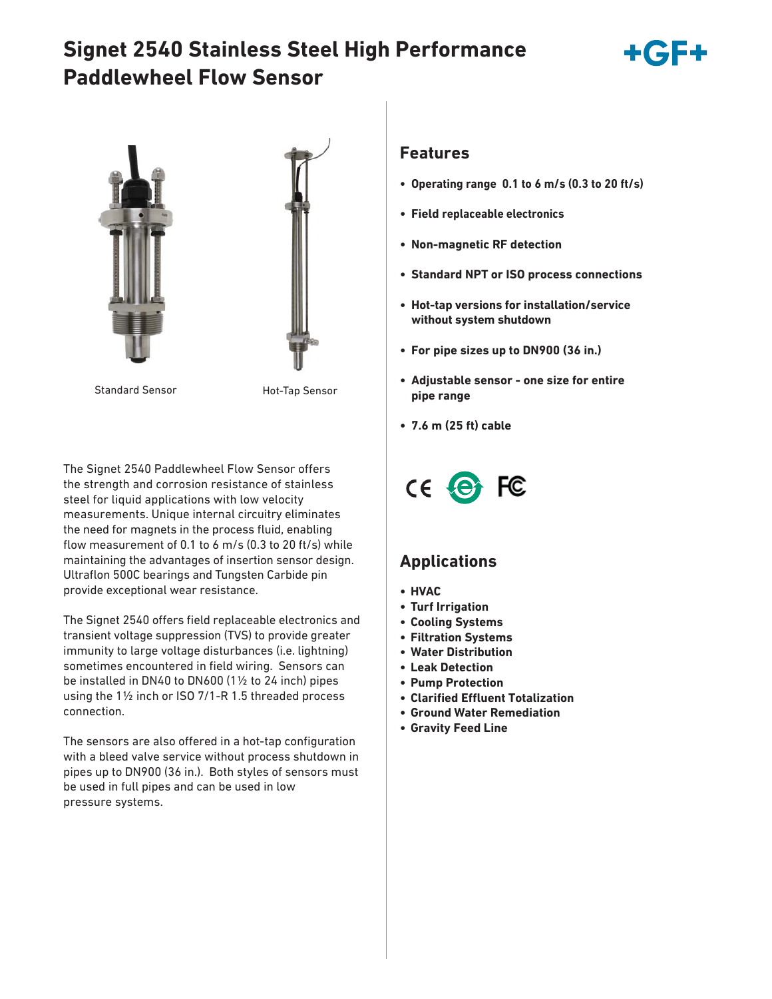# **Signet 2540 Stainless Steel High Performance Paddlewheel Flow Sensor**







Standard Sensor **Hot-Tap Sensor** 

The Signet 2540 Paddlewheel Flow Sensor offers the strength and corrosion resistance of stainless steel for liquid applications with low velocity measurements. Unique internal circuitry eliminates the need for magnets in the process fluid, enabling flow measurement of 0.1 to 6 m/s (0.3 to 20 ft/s) while maintaining the advantages of insertion sensor design. Ultraflon 500C bearings and Tungsten Carbide pin provide exceptional wear resistance.

The Signet 2540 offers field replaceable electronics and transient voltage suppression (TVS) to provide greater immunity to large voltage disturbances (i.e. lightning) sometimes encountered in field wiring. Sensors can be installed in DN40 to DN600 (1½ to 24 inch) pipes using the 1½ inch or ISO 7/1-R 1.5 threaded process connection.

The sensors are also offered in a hot-tap configuration with a bleed valve service without process shutdown in pipes up to DN900 (36 in.). Both styles of sensors must be used in full pipes and can be used in low pressure systems.

### **Features**

- **Operating range 0.1 to 6 m/s (0.3 to 20 ft/s)**
- **Field replaceable electronics**
- **Non-magnetic RF detection**
- **Standard NPT or ISO process connections**
- **Hot-tap versions for installation/service without system shutdown**
- **For pipe sizes up to DN900 (36 in.)**
- **Adjustable sensor one size for entire pipe range**
- **7.6 m (25 ft) cable**



## **Applications**

- **HVAC**
- **Turf Irrigation**
- **Cooling Systems**
- **Filtration Systems**
- **Water Distribution**
- **Leak Detection**
- **Pump Protection**
- **Clarified Effluent Totalization**
- **Ground Water Remediation**
- **Gravity Feed Line**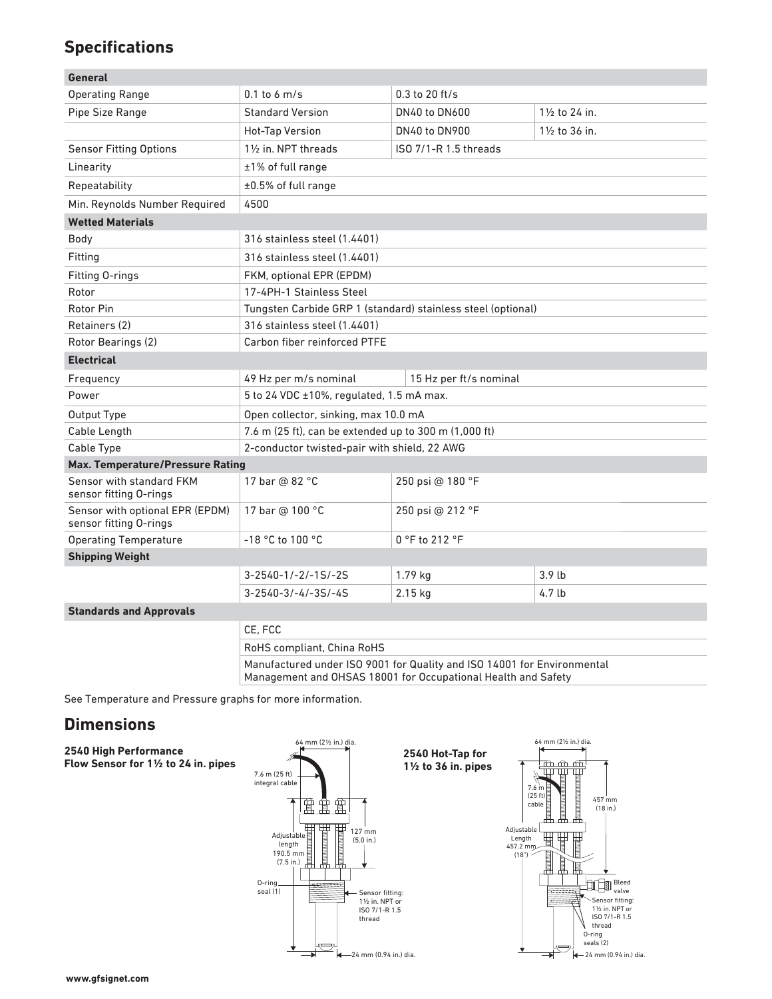## **Specifications**

| General                                                   |                                                              |                        |                   |  |  |
|-----------------------------------------------------------|--------------------------------------------------------------|------------------------|-------------------|--|--|
| <b>Operating Range</b>                                    | $0.1$ to 6 m/s                                               | $0.3$ to $20$ ft/s     |                   |  |  |
| Pipe Size Range                                           | <b>Standard Version</b>                                      | <b>DN40 to DN600</b>   | 11/2 to 24 in.    |  |  |
|                                                           | Hot-Tap Version                                              | <b>DN40 to DN900</b>   | 11/2 to 36 in.    |  |  |
| <b>Sensor Fitting Options</b>                             | $1\frac{1}{2}$ in. NPT threads<br>ISO 7/1-R 1.5 threads      |                        |                   |  |  |
| Linearity                                                 | ±1% of full range                                            |                        |                   |  |  |
| Repeatability                                             | $\pm 0.5\%$ of full range                                    |                        |                   |  |  |
| Min. Reynolds Number Required                             | 4500                                                         |                        |                   |  |  |
| <b>Wetted Materials</b>                                   |                                                              |                        |                   |  |  |
| Body                                                      | 316 stainless steel (1.4401)                                 |                        |                   |  |  |
| Fitting                                                   | 316 stainless steel (1.4401)                                 |                        |                   |  |  |
| Fitting O-rings                                           | FKM, optional EPR (EPDM)                                     |                        |                   |  |  |
| Rotor                                                     | 17-4PH-1 Stainless Steel                                     |                        |                   |  |  |
| Rotor Pin                                                 | Tungsten Carbide GRP 1 (standard) stainless steel (optional) |                        |                   |  |  |
| Retainers (2)                                             | 316 stainless steel (1.4401)                                 |                        |                   |  |  |
| Rotor Bearings (2)                                        | Carbon fiber reinforced PTFE                                 |                        |                   |  |  |
| <b>Electrical</b>                                         |                                                              |                        |                   |  |  |
| Frequency                                                 | 49 Hz per m/s nominal                                        | 15 Hz per ft/s nominal |                   |  |  |
| Power                                                     | 5 to 24 VDC ±10%, regulated, 1.5 mA max.                     |                        |                   |  |  |
| Output Type                                               | Open collector, sinking, max 10.0 mA                         |                        |                   |  |  |
| Cable Length                                              | 7.6 m (25 ft), can be extended up to 300 m (1,000 ft)        |                        |                   |  |  |
| Cable Type                                                | 2-conductor twisted-pair with shield, 22 AWG                 |                        |                   |  |  |
| <b>Max. Temperature/Pressure Rating</b>                   |                                                              |                        |                   |  |  |
| Sensor with standard FKM<br>sensor fitting O-rings        | 17 bar @ 82 °C                                               | 250 psi @ 180 °F       |                   |  |  |
| Sensor with optional EPR (EPDM)<br>sensor fitting O-rings | 17 bar @ 100 °C                                              | 250 psi @ 212 °F       |                   |  |  |
| <b>Operating Temperature</b>                              | -18 °C to 100 °C                                             | 0 °F to 212 °F         |                   |  |  |
| <b>Shipping Weight</b>                                    |                                                              |                        |                   |  |  |
|                                                           | $3 - 2540 - 1 / - 2 / - 15 / - 25$                           | 1.79 kg                | 3.9 <sub>lb</sub> |  |  |
|                                                           | $3 - 2540 - 3/-4/-35/-45$                                    | 2.15 kg                | 4.7 lb            |  |  |
| <b>Standards and Approvals</b>                            |                                                              |                        |                   |  |  |
|                                                           | CE. FCC<br>RoHS compliant, China RoHS                        |                        |                   |  |  |
|                                                           |                                                              |                        |                   |  |  |
|                                                           |                                                              |                        |                   |  |  |

Manufactured under ISO 9001 for Quality and ISO 14001 for Environmental Management and OHSAS 18001 for Occupational Health and Safety

See Temperature and Pressure graphs for more information.

### **Dimensions**

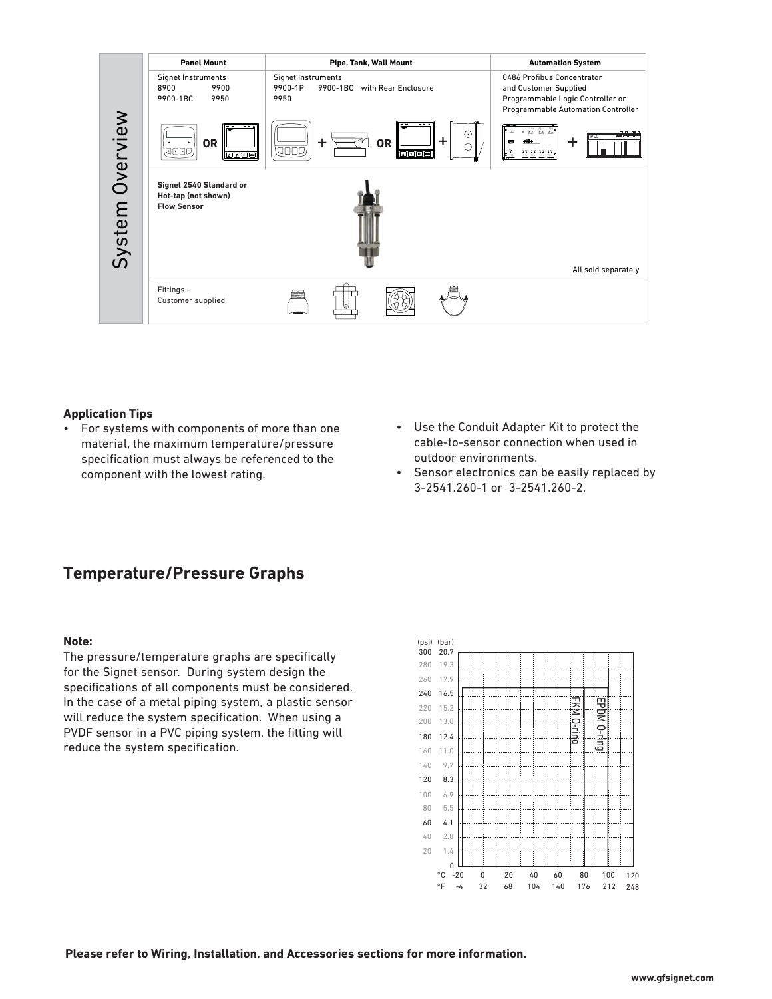

#### **Application Tips**

- For systems with components of more than one material, the maximum temperature/pressure specification must always be referenced to the component with the lowest rating.
- Use the Conduit Adapter Kit to protect the cable-to-sensor connection when used in outdoor environments.
- Sensor electronics can be easily replaced by 3-2541.260-1 or 3-2541.260-2.

### **Temperature/Pressure Graphs**

#### **Note:**

The pressure/temperature graphs are specifically for the Signet sensor. During system design the specifications of all components must be considered. In the case of a metal piping system, a plastic sensor will reduce the system specification. When using a PVDF sensor in a PVC piping system, the fitting will reduce the system specification.